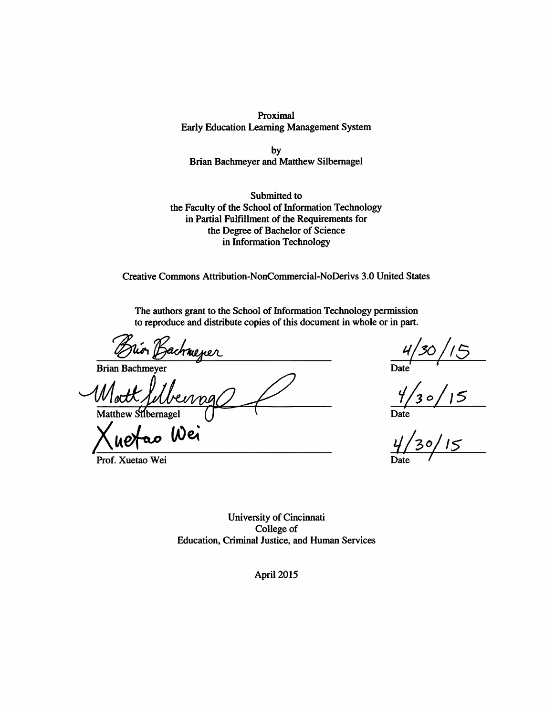Proximal **Early Education Learning Management System** 

by **Brian Bachmeyer and Matthew Silbernagel** 

Submitted to the Faculty of the School of Information Technology in Partial Fulfillment of the Requirements for the Degree of Bachelor of Science in Information Technology

Creative Commons Attribution-NonCommercial-NoDerivs 3.0 United States

The authors grant to the School of Information Technology permission to reproduce and distribute copies of this document in whole or in part.

**Brian Bachmever** 

Matthew Silbernagel

Wei

Prof. Xuetao Wei

 $\frac{4/30/15}{\text{Date}}$ <br> $\frac{4/30/15}{\text{Date}}$ 

University of Cincinnati College of Education, Criminal Justice, and Human Services

April 2015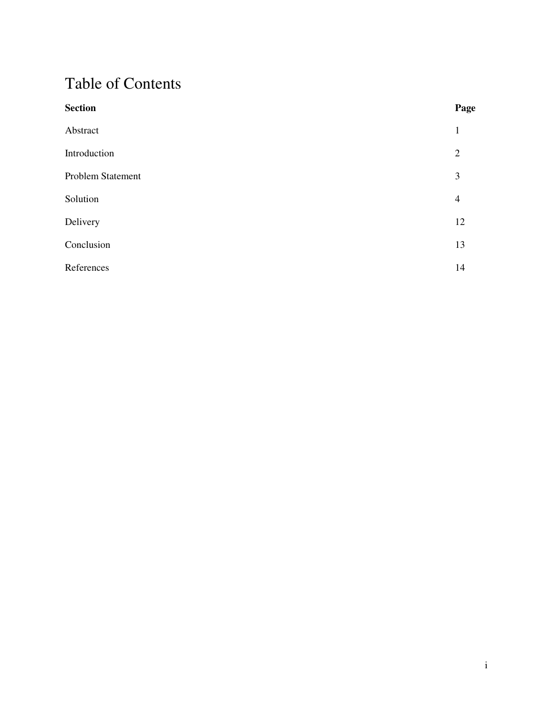# Table of Contents

| <b>Section</b>    | Page           |
|-------------------|----------------|
| Abstract          | $\mathbf{1}$   |
| Introduction      | $\overline{2}$ |
| Problem Statement | 3              |
| Solution          | $\overline{4}$ |
| Delivery          | 12             |
| Conclusion        | 13             |
| References        | 14             |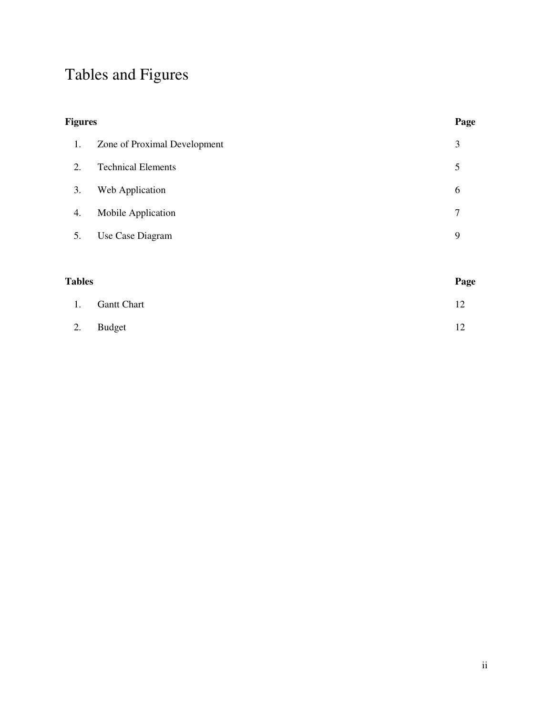# Tables and Figures

| <b>Figures</b> |                              |                |
|----------------|------------------------------|----------------|
| 1.             | Zone of Proximal Development | 3              |
| 2.             | <b>Technical Elements</b>    | 5              |
| 3.             | Web Application              | 6              |
| 4.             | Mobile Application           | $\overline{7}$ |
| 5.             | Use Case Diagram             | 9              |
|                |                              |                |
| <b>Tables</b>  |                              | Page           |
| 1.             | <b>Gantt Chart</b>           | 12             |

2. Budget 12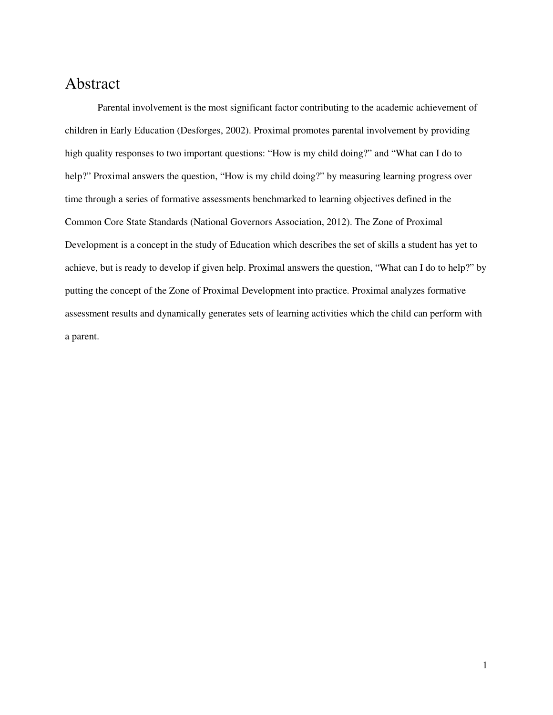### Abstract

Parental involvement is the most significant factor contributing to the academic achievement of children in Early Education (Desforges, 2002). Proximal promotes parental involvement by providing high quality responses to two important questions: "How is my child doing?" and "What can I do to help?" Proximal answers the question, "How is my child doing?" by measuring learning progress over time through a series of formative assessments benchmarked to learning objectives defined in the Common Core State Standards (National Governors Association, 2012). The Zone of Proximal Development is a concept in the study of Education which describes the set of skills a student has yet to achieve, but is ready to develop if given help. Proximal answers the question, "What can I do to help?" by putting the concept of the Zone of Proximal Development into practice. Proximal analyzes formative assessment results and dynamically generates sets of learning activities which the child can perform with a parent.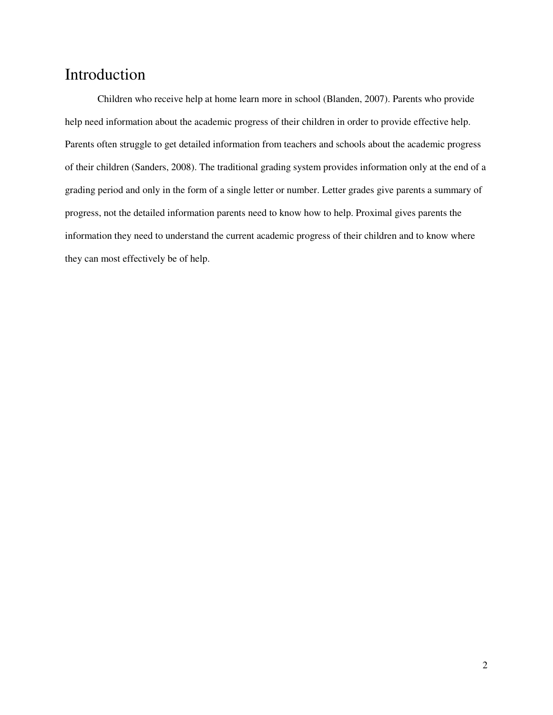### Introduction

Children who receive help at home learn more in school (Blanden, 2007). Parents who provide help need information about the academic progress of their children in order to provide effective help. Parents often struggle to get detailed information from teachers and schools about the academic progress of their children (Sanders, 2008). The traditional grading system provides information only at the end of a grading period and only in the form of a single letter or number. Letter grades give parents a summary of progress, not the detailed information parents need to know how to help. Proximal gives parents the information they need to understand the current academic progress of their children and to know where they can most effectively be of help.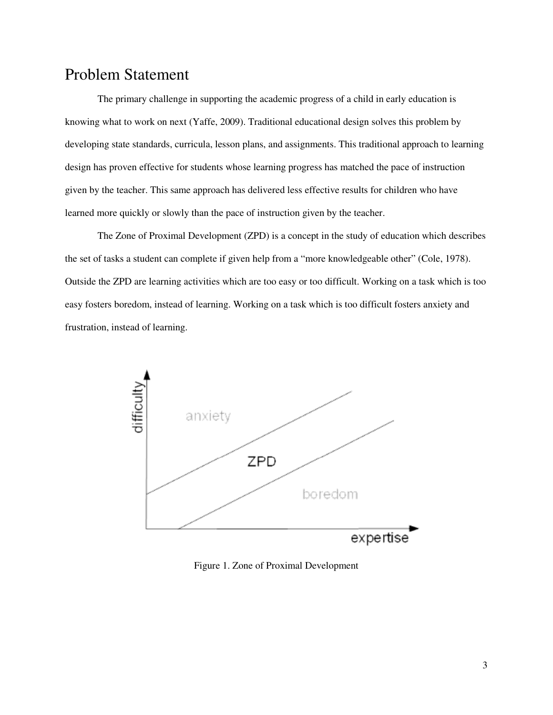### Problem Statement

The primary challenge in supporting the academic progress of a child in early education is knowing what to work on next (Yaffe, 2009). Traditional educational design solves this problem by developing state standards, curricula, lesson plans, and assignments. This traditional approach to learning design has proven effective for students whose learning progress has matched the pace of instruction given by the teacher. This same approach has delivered less effective results for children who have learned more quickly or slowly than the pace of instruction given by the teacher.

The Zone of Proximal Development (ZPD) is a concept in the study of education which describes the set of tasks a student can complete if given help from a "more knowledgeable other" (Cole, 1978). Outside the ZPD are learning activities which are too easy or too difficult. Working on a task which is too easy fosters boredom, instead of learning. Working on a task which is too difficult fosters anxiety and frustration, instead of learning.



Figure 1. Zone of Proximal Development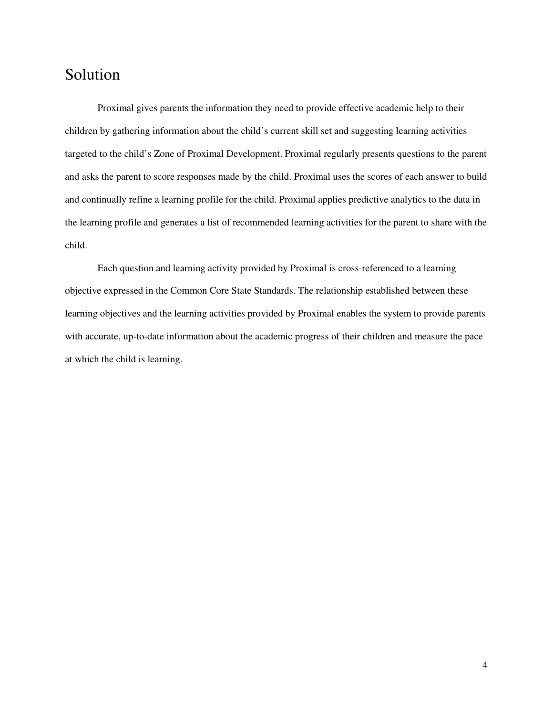### Solution

Proximal gives parents the information they need to provide effective academic help to their children by gathering information about the child's current skill set and suggesting learning activities targeted to the child's Zone of Proximal Development. Proximal regularly presents questions to the parent and asks the parent to score responses made by the child. Proximal uses the scores of each answer to build and continually refine a learning profile for the child. Proximal applies predictive analytics to the data in the learning profile and generates a list of recommended learning activities for the parent to share with the child.

Each question and learning activity provided by Proximal is cross-referenced to a learning objective expressed in the Common Core State Standards. The relationship established between these learning objectives and the learning activities provided by Proximal enables the system to provide parents with accurate, up-to-date information about the academic progress of their children and measure the pace at which the child is learning.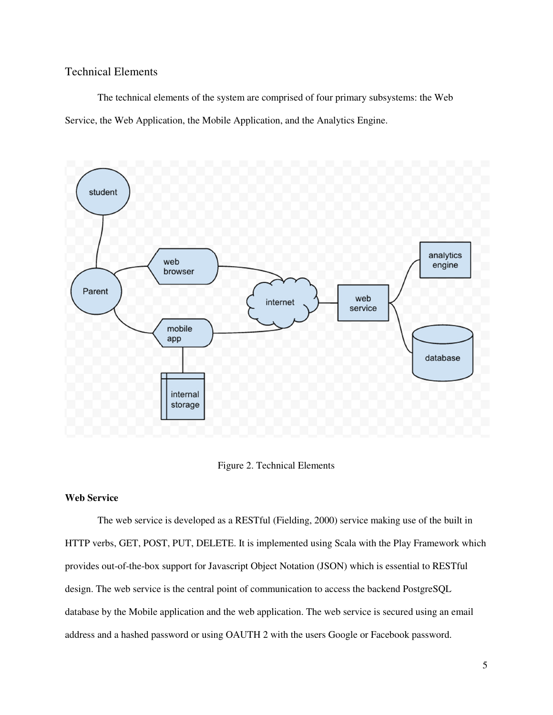#### Technical Elements

The technical elements of the system are comprised of four primary subsystems: the Web Service, the Web Application, the Mobile Application, and the Analytics Engine.



Figure 2. Technical Elements

#### **Web Service**

The web service is developed as a RESTful (Fielding, 2000) service making use of the built in HTTP verbs, GET, POST, PUT, DELETE. It is implemented using Scala with the Play Framework which provides out-of-the-box support for Javascript Object Notation (JSON) which is essential to RESTful design. The web service is the central point of communication to access the backend PostgreSQL database by the Mobile application and the web application. The web service is secured using an email address and a hashed password or using OAUTH 2 with the users Google or Facebook password.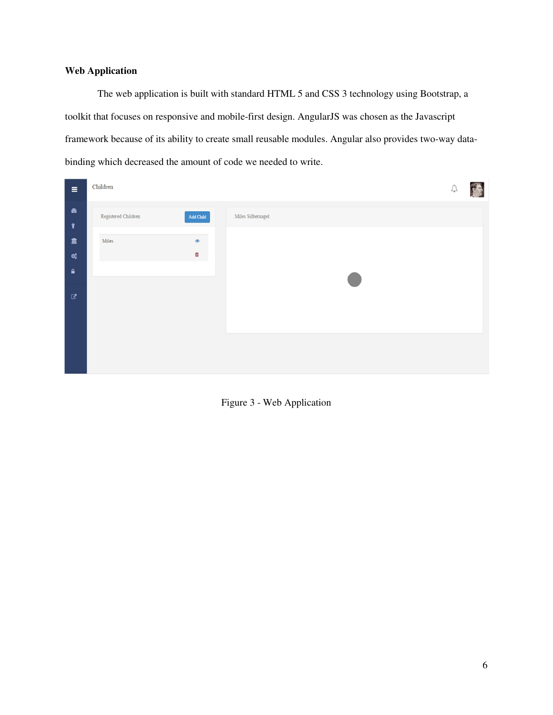### **Web Application**

The web application is built with standard HTML 5 and CSS 3 technology using Bootstrap, a toolkit that focuses on responsive and mobile-first design. AngularJS was chosen as the Javascript framework because of its ability to create small reusable modules. Angular also provides two-way databinding which decreased the amount of code we needed to write.

| $\equiv$                                | Children            |                                                                              |                   | $\frac{1}{2}$ |
|-----------------------------------------|---------------------|------------------------------------------------------------------------------|-------------------|---------------|
| $\pmb{\circledast}$<br>$\pmb{\Upsilon}$ | Registered Children | $\operatorname{\mathsf{Add}}\nolimits\operatorname{\mathsf{Child}}\nolimits$ | Miles Silbernagel |               |
| 血<br>$\alpha_{\rm s}^{\rm e}$           | Miles               | $\qquad \qquad \circ$<br>$\hat{\mathbf{u}}$                                  |                   |               |
| $\bullet$                               |                     |                                                                              |                   |               |
| $\mathbf{G}$                            |                     |                                                                              |                   |               |
|                                         |                     |                                                                              |                   |               |
|                                         |                     |                                                                              |                   |               |
|                                         |                     |                                                                              |                   |               |

Figure 3 - Web Application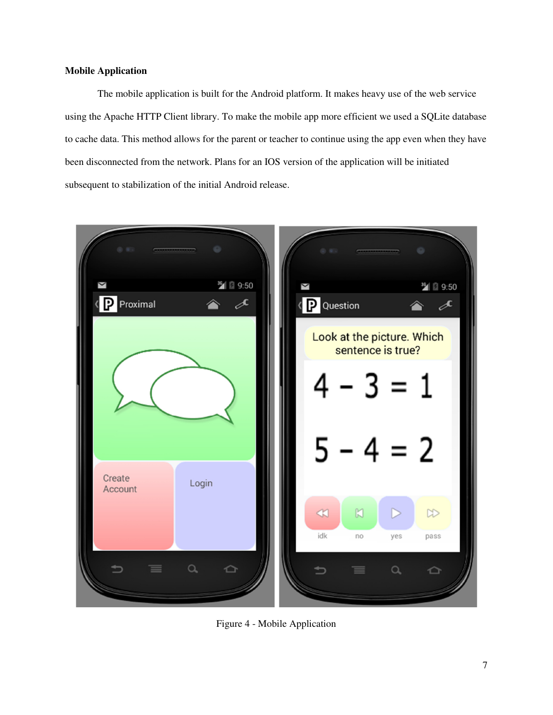#### **Mobile Application**

The mobile application is built for the Android platform. It makes heavy use of the web service using the Apache HTTP Client library. To make the mobile app more efficient we used a SQLite database to cache data. This method allows for the parent or teacher to continue using the app even when they have been disconnected from the network. Plans for an IOS version of the application will be initiated subsequent to stabilization of the initial Android release.



Figure 4 - Mobile Application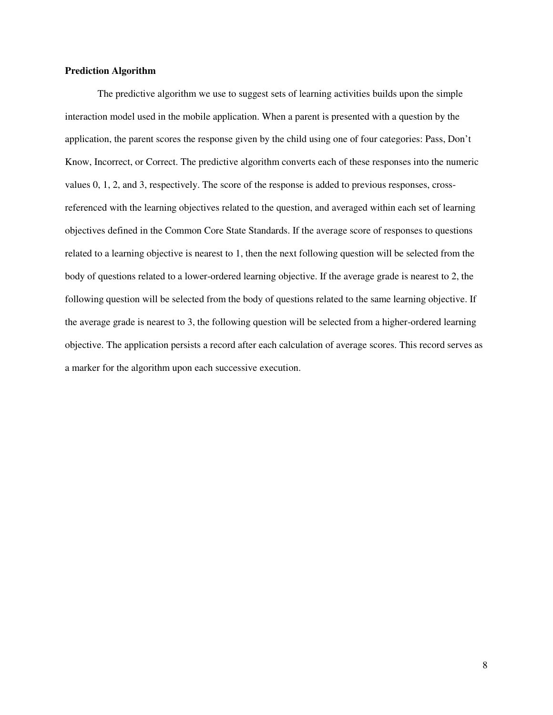#### **Prediction Algorithm**

The predictive algorithm we use to suggest sets of learning activities builds upon the simple interaction model used in the mobile application. When a parent is presented with a question by the application, the parent scores the response given by the child using one of four categories: Pass, Don't Know, Incorrect, or Correct. The predictive algorithm converts each of these responses into the numeric values 0, 1, 2, and 3, respectively. The score of the response is added to previous responses, crossreferenced with the learning objectives related to the question, and averaged within each set of learning objectives defined in the Common Core State Standards. If the average score of responses to questions related to a learning objective is nearest to 1, then the next following question will be selected from the body of questions related to a lower-ordered learning objective. If the average grade is nearest to 2, the following question will be selected from the body of questions related to the same learning objective. If the average grade is nearest to 3, the following question will be selected from a higher-ordered learning objective. The application persists a record after each calculation of average scores. This record serves as a marker for the algorithm upon each successive execution.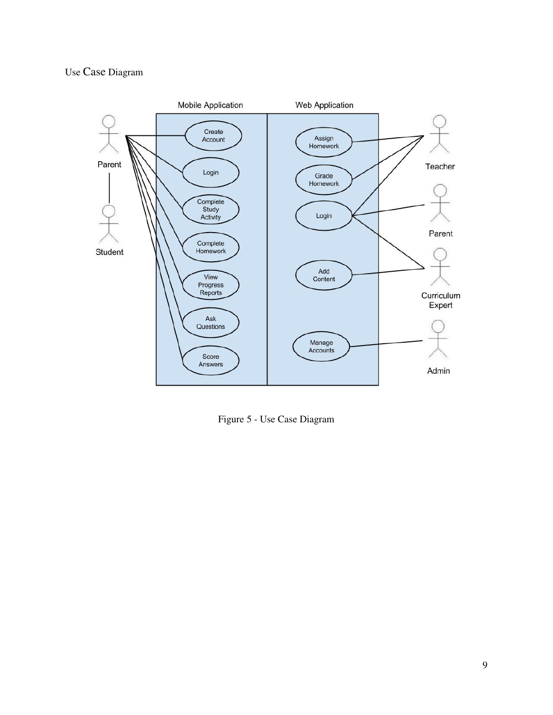### Use Case Diagram



Figure 5 - Use Case Diagram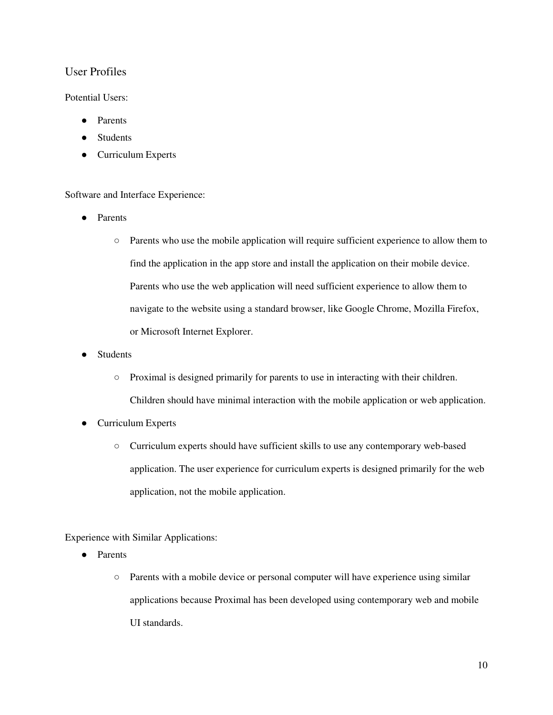### User Profiles

#### Potential Users:

- Parents
- **Students**
- **Curriculum Experts**

#### Software and Interface Experience:

- Parents
	- Parents who use the mobile application will require sufficient experience to allow them to find the application in the app store and install the application on their mobile device. Parents who use the web application will need sufficient experience to allow them to navigate to the website using a standard browser, like Google Chrome, Mozilla Firefox, or Microsoft Internet Explorer.
- **Students** 
	- Proximal is designed primarily for parents to use in interacting with their children. Children should have minimal interaction with the mobile application or web application.
- **Curriculum Experts** 
	- Curriculum experts should have sufficient skills to use any contemporary web-based application. The user experience for curriculum experts is designed primarily for the web application, not the mobile application.

Experience with Similar Applications:

- Parents
	- Parents with a mobile device or personal computer will have experience using similar applications because Proximal has been developed using contemporary web and mobile UI standards.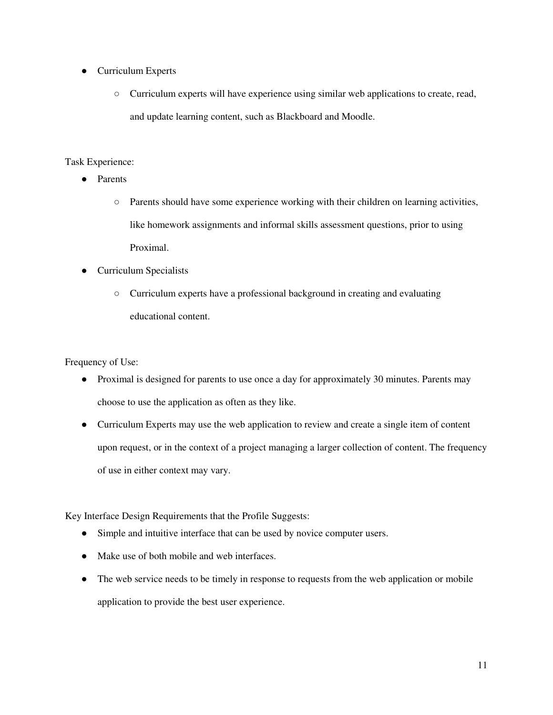- Curriculum Experts
	- Curriculum experts will have experience using similar web applications to create, read, and update learning content, such as Blackboard and Moodle.

#### Task Experience:

- Parents
	- Parents should have some experience working with their children on learning activities, like homework assignments and informal skills assessment questions, prior to using Proximal.
- Curriculum Specialists
	- Curriculum experts have a professional background in creating and evaluating educational content.

Frequency of Use:

- Proximal is designed for parents to use once a day for approximately 30 minutes. Parents may choose to use the application as often as they like.
- Curriculum Experts may use the web application to review and create a single item of content upon request, or in the context of a project managing a larger collection of content. The frequency of use in either context may vary.

Key Interface Design Requirements that the Profile Suggests:

- Simple and intuitive interface that can be used by novice computer users.
- Make use of both mobile and web interfaces.
- The web service needs to be timely in response to requests from the web application or mobile application to provide the best user experience.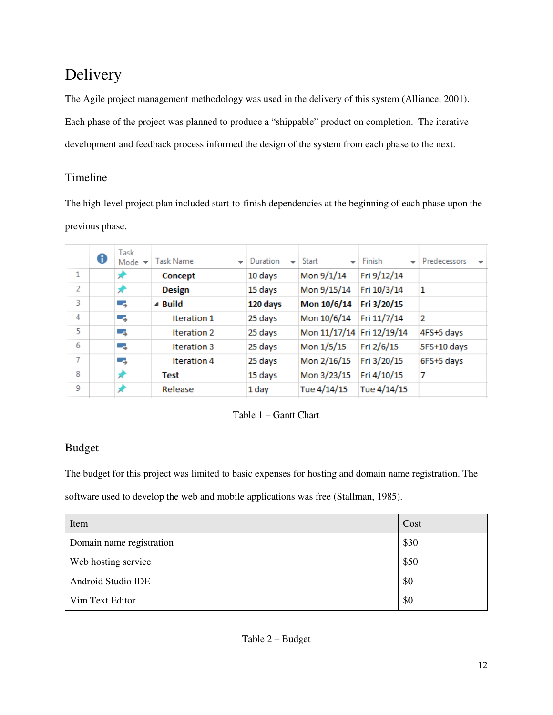# Delivery

The Agile project management methodology was used in the delivery of this system (Alliance, 2001). Each phase of the project was planned to produce a "shippable" product on completion. The iterative development and feedback process informed the design of the system from each phase to the next.

### Timeline

The high-level project plan included start-to-finish dependencies at the beginning of each phase upon the previous phase.

|   | ❶ | Task<br>Mode $\star$ | Task Name<br>$\overline{\phantom{a}}$ | Duration<br>÷ | Start                     | Finish<br>÷ | Predecessors<br>$\overline{\phantom{a}}$ |
|---|---|----------------------|---------------------------------------|---------------|---------------------------|-------------|------------------------------------------|
| 1 |   | ×                    | Concept                               | 10 days       | Mon 9/1/14                | Fri 9/12/14 |                                          |
| 2 |   | ×                    | <b>Design</b>                         | 15 days       | Mon 9/15/14               | Fri 10/3/14 | 1                                        |
| 3 |   | -5                   | $\triangle$ Build                     | 120 days      | Mon 10/6/14               | Fri 3/20/15 |                                          |
| 4 |   | -5                   | <b>Iteration 1</b>                    | 25 days       | Mon 10/6/14               | Fri 11/7/14 | 2                                        |
| 5 |   | -5                   | <b>Iteration 2</b>                    | 25 days       | Mon 11/17/14 Fri 12/19/14 |             | 4FS+5 days                               |
| 6 |   | -5                   | <b>Iteration 3</b>                    | 25 days       | Mon 1/5/15                | Fri 2/6/15  | 5FS+10 days                              |
| 7 |   | -5                   | Iteration 4                           | 25 days       | Mon 2/16/15               | Fri 3/20/15 | 6FS+5 days                               |
| 8 |   |                      | <b>Test</b>                           | 15 days       | Mon 3/23/15               | Fri 4/10/15 | 7                                        |
| 9 |   |                      | Release                               | 1 day         | Tue 4/14/15               | Tue 4/14/15 |                                          |

Table 1 – Gantt Chart

### Budget

The budget for this project was limited to basic expenses for hosting and domain name registration. The

software used to develop the web and mobile applications was free (Stallman, 1985).

| Item                     | Cost |
|--------------------------|------|
| Domain name registration | \$30 |
| Web hosting service      | \$50 |
| Android Studio IDE       | \$0  |
| Vim Text Editor          | \$0  |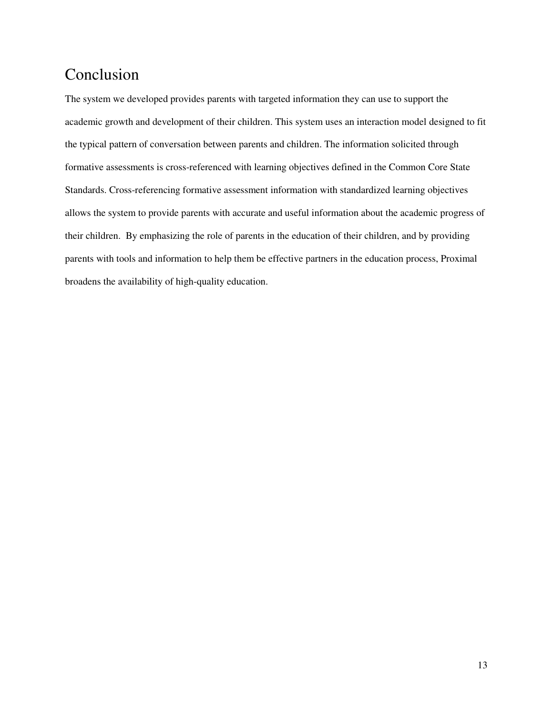## Conclusion

The system we developed provides parents with targeted information they can use to support the academic growth and development of their children. This system uses an interaction model designed to fit the typical pattern of conversation between parents and children. The information solicited through formative assessments is cross-referenced with learning objectives defined in the Common Core State Standards. Cross-referencing formative assessment information with standardized learning objectives allows the system to provide parents with accurate and useful information about the academic progress of their children. By emphasizing the role of parents in the education of their children, and by providing parents with tools and information to help them be effective partners in the education process, Proximal broadens the availability of high-quality education.